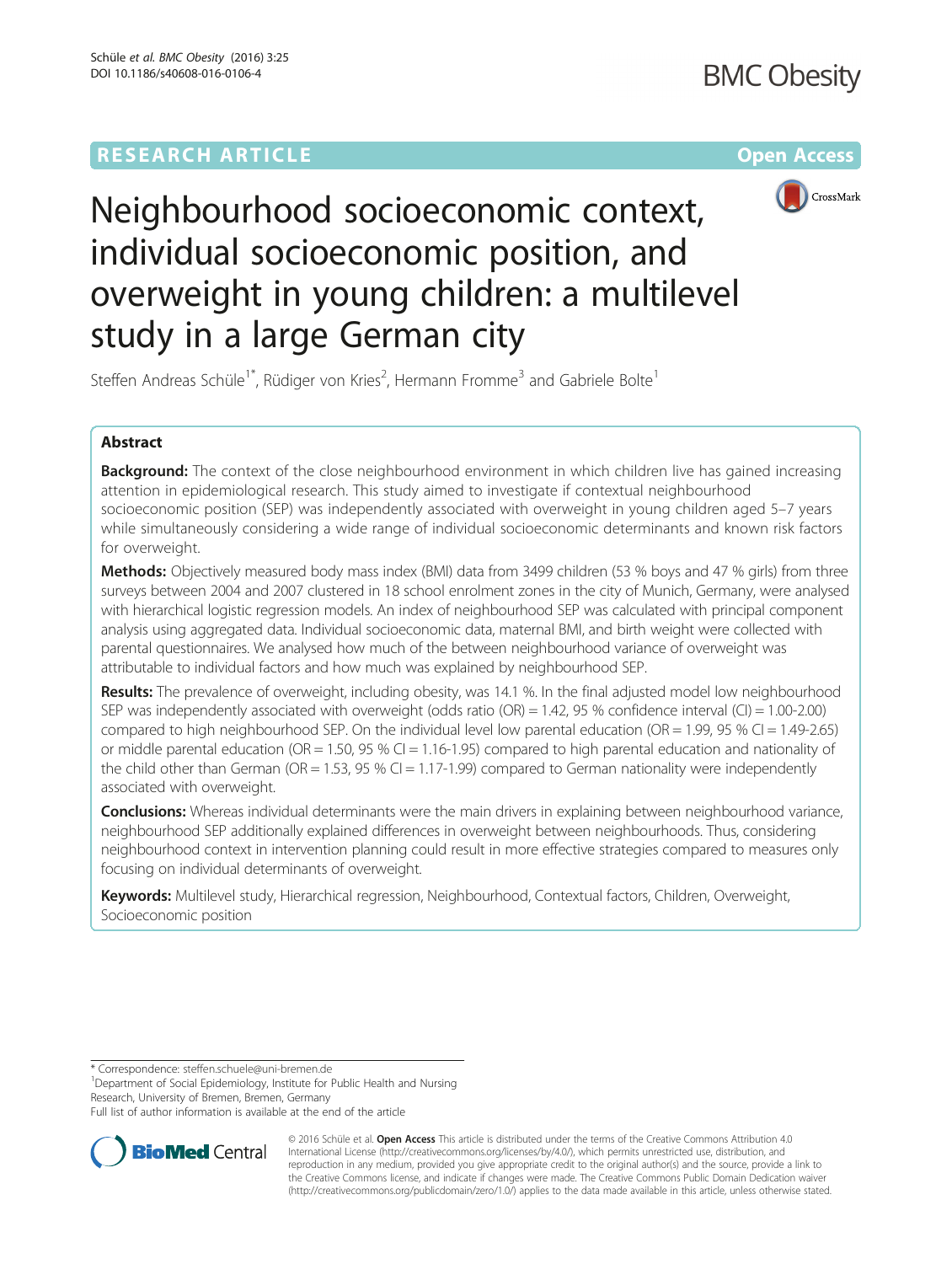

Neighbourhood socioeconomic context, individual socioeconomic position, and overweight in young children: a multilevel study in a large German city

Steffen Andreas Schüle<sup>1\*</sup>, Rüdiger von Kries<sup>2</sup>, Hermann Fromme<sup>3</sup> and Gabriele Bolte<sup>1</sup>

# Abstract

Background: The context of the close neighbourhood environment in which children live has gained increasing attention in epidemiological research. This study aimed to investigate if contextual neighbourhood socioeconomic position (SEP) was independently associated with overweight in young children aged 5–7 years while simultaneously considering a wide range of individual socioeconomic determinants and known risk factors for overweight.

Methods: Objectively measured body mass index (BMI) data from 3499 children (53 % boys and 47 % girls) from three surveys between 2004 and 2007 clustered in 18 school enrolment zones in the city of Munich, Germany, were analysed with hierarchical logistic regression models. An index of neighbourhood SEP was calculated with principal component analysis using aggregated data. Individual socioeconomic data, maternal BMI, and birth weight were collected with parental questionnaires. We analysed how much of the between neighbourhood variance of overweight was attributable to individual factors and how much was explained by neighbourhood SEP.

Results: The prevalence of overweight, including obesity, was 14.1 %. In the final adjusted model low neighbourhood SEP was independently associated with overweight (odds ratio (OR) = 1.42, 95 % confidence interval (CI) = 1.00-2.00) compared to high neighbourhood SEP. On the individual level low parental education (OR = 1.99, 95 % CI = 1.49-2.65) or middle parental education (OR = 1.50, 95 % CI = 1.16-1.95) compared to high parental education and nationality of the child other than German ( $OR = 1.53$ ,  $95\%$  CI = 1.17-1.99) compared to German nationality were independently associated with overweight.

**Conclusions:** Whereas individual determinants were the main drivers in explaining between neighbourhood variance, neighbourhood SEP additionally explained differences in overweight between neighbourhoods. Thus, considering neighbourhood context in intervention planning could result in more effective strategies compared to measures only focusing on individual determinants of overweight.

Keywords: Multilevel study, Hierarchical regression, Neighbourhood, Contextual factors, Children, Overweight, Socioeconomic position

\* Correspondence: [steffen.schuele@uni-bremen.de](mailto:steffen.schuele@uni-bremen.de) <sup>1</sup>

<sup>1</sup>Department of Social Epidemiology, Institute for Public Health and Nursing Research, University of Bremen, Bremen, Germany

Full list of author information is available at the end of the article



© 2016 Schüle et al. Open Access This article is distributed under the terms of the Creative Commons Attribution 4.0 International License [\(http://creativecommons.org/licenses/by/4.0/](http://creativecommons.org/licenses/by/4.0/)), which permits unrestricted use, distribution, and reproduction in any medium, provided you give appropriate credit to the original author(s) and the source, provide a link to the Creative Commons license, and indicate if changes were made. The Creative Commons Public Domain Dedication waiver [\(http://creativecommons.org/publicdomain/zero/1.0/](http://creativecommons.org/publicdomain/zero/1.0/)) applies to the data made available in this article, unless otherwise stated.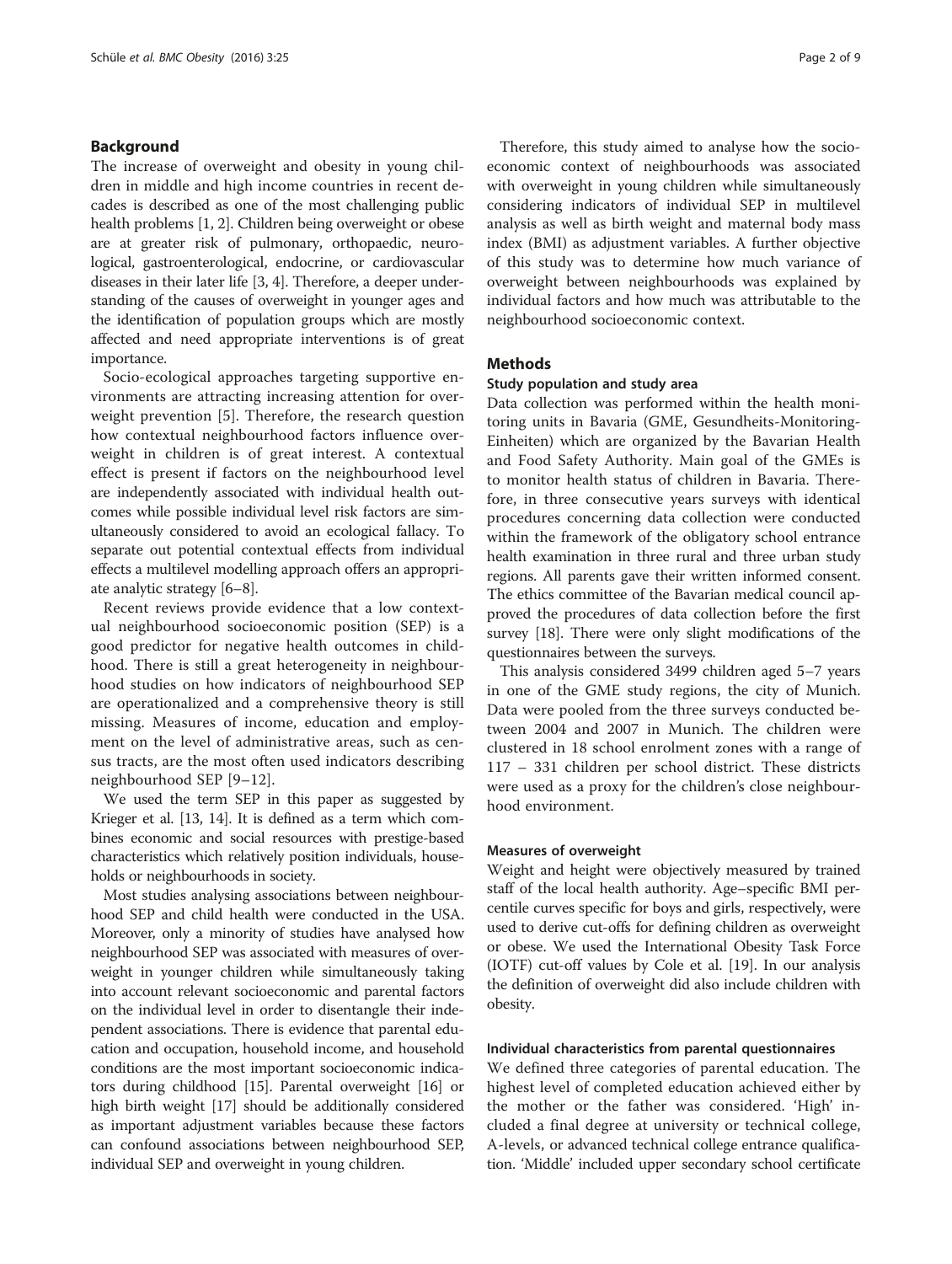## Background

The increase of overweight and obesity in young children in middle and high income countries in recent decades is described as one of the most challenging public health problems [[1, 2](#page-7-0)]. Children being overweight or obese are at greater risk of pulmonary, orthopaedic, neurological, gastroenterological, endocrine, or cardiovascular diseases in their later life [[3, 4](#page-7-0)]. Therefore, a deeper understanding of the causes of overweight in younger ages and the identification of population groups which are mostly affected and need appropriate interventions is of great importance.

Socio-ecological approaches targeting supportive environments are attracting increasing attention for overweight prevention [\[5](#page-7-0)]. Therefore, the research question how contextual neighbourhood factors influence overweight in children is of great interest. A contextual effect is present if factors on the neighbourhood level are independently associated with individual health outcomes while possible individual level risk factors are simultaneously considered to avoid an ecological fallacy. To separate out potential contextual effects from individual effects a multilevel modelling approach offers an appropriate analytic strategy [\[6](#page-7-0)–[8](#page-7-0)].

Recent reviews provide evidence that a low contextual neighbourhood socioeconomic position (SEP) is a good predictor for negative health outcomes in childhood. There is still a great heterogeneity in neighbourhood studies on how indicators of neighbourhood SEP are operationalized and a comprehensive theory is still missing. Measures of income, education and employment on the level of administrative areas, such as census tracts, are the most often used indicators describing neighbourhood SEP [[9](#page-7-0)–[12\]](#page-7-0).

We used the term SEP in this paper as suggested by Krieger et al. [\[13, 14](#page-7-0)]. It is defined as a term which combines economic and social resources with prestige-based characteristics which relatively position individuals, households or neighbourhoods in society.

Most studies analysing associations between neighbourhood SEP and child health were conducted in the USA. Moreover, only a minority of studies have analysed how neighbourhood SEP was associated with measures of overweight in younger children while simultaneously taking into account relevant socioeconomic and parental factors on the individual level in order to disentangle their independent associations. There is evidence that parental education and occupation, household income, and household conditions are the most important socioeconomic indicators during childhood [[15](#page-7-0)]. Parental overweight [\[16\]](#page-7-0) or high birth weight [\[17](#page-7-0)] should be additionally considered as important adjustment variables because these factors can confound associations between neighbourhood SEP, individual SEP and overweight in young children.

Therefore, this study aimed to analyse how the socioeconomic context of neighbourhoods was associated with overweight in young children while simultaneously considering indicators of individual SEP in multilevel analysis as well as birth weight and maternal body mass index (BMI) as adjustment variables. A further objective of this study was to determine how much variance of overweight between neighbourhoods was explained by individual factors and how much was attributable to the neighbourhood socioeconomic context.

## Methods

### Study population and study area

Data collection was performed within the health monitoring units in Bavaria (GME, Gesundheits-Monitoring-Einheiten) which are organized by the Bavarian Health and Food Safety Authority. Main goal of the GMEs is to monitor health status of children in Bavaria. Therefore, in three consecutive years surveys with identical procedures concerning data collection were conducted within the framework of the obligatory school entrance health examination in three rural and three urban study regions. All parents gave their written informed consent. The ethics committee of the Bavarian medical council approved the procedures of data collection before the first survey [[18\]](#page-7-0). There were only slight modifications of the questionnaires between the surveys.

This analysis considered 3499 children aged 5–7 years in one of the GME study regions, the city of Munich. Data were pooled from the three surveys conducted between 2004 and 2007 in Munich. The children were clustered in 18 school enrolment zones with a range of 117 – 331 children per school district. These districts were used as a proxy for the children's close neighbourhood environment.

## Measures of overweight

Weight and height were objectively measured by trained staff of the local health authority. Age–specific BMI percentile curves specific for boys and girls, respectively, were used to derive cut-offs for defining children as overweight or obese. We used the International Obesity Task Force (IOTF) cut-off values by Cole et al. [\[19\]](#page-8-0). In our analysis the definition of overweight did also include children with obesity.

## Individual characteristics from parental questionnaires

We defined three categories of parental education. The highest level of completed education achieved either by the mother or the father was considered. 'High' included a final degree at university or technical college, A-levels, or advanced technical college entrance qualification. 'Middle' included upper secondary school certificate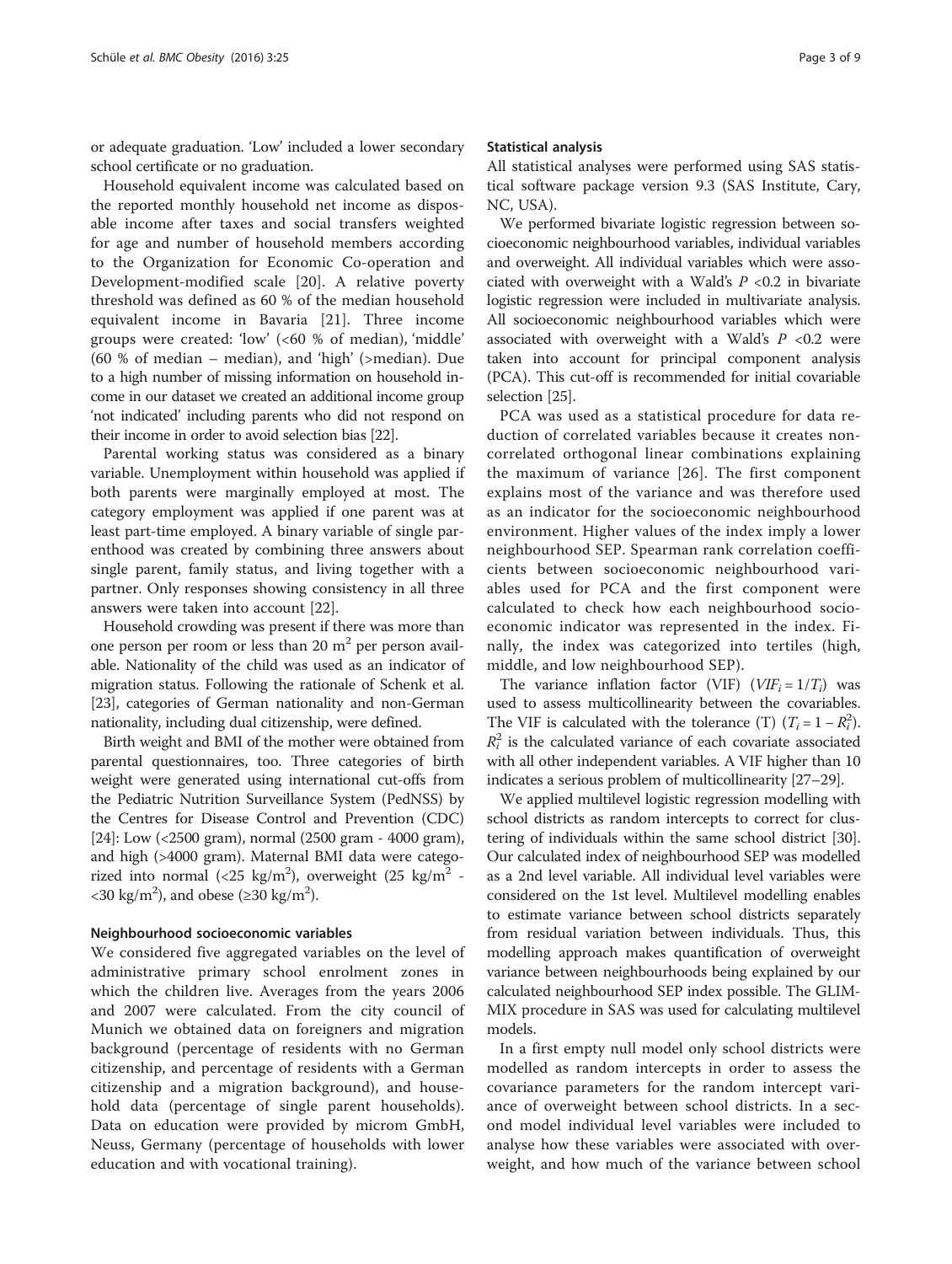or adequate graduation. 'Low' included a lower secondary school certificate or no graduation.

Household equivalent income was calculated based on the reported monthly household net income as disposable income after taxes and social transfers weighted for age and number of household members according to the Organization for Economic Co-operation and Development-modified scale [\[20](#page-8-0)]. A relative poverty threshold was defined as 60 % of the median household equivalent income in Bavaria [[21\]](#page-8-0). Three income groups were created: 'low' (<60 % of median), 'middle' (60 % of median – median), and 'high' (>median). Due to a high number of missing information on household income in our dataset we created an additional income group 'not indicated' including parents who did not respond on their income in order to avoid selection bias [[22](#page-8-0)].

Parental working status was considered as a binary variable. Unemployment within household was applied if both parents were marginally employed at most. The category employment was applied if one parent was at least part-time employed. A binary variable of single parenthood was created by combining three answers about single parent, family status, and living together with a partner. Only responses showing consistency in all three answers were taken into account [[22\]](#page-8-0).

Household crowding was present if there was more than one person per room or less than 20  $m<sup>2</sup>$  per person available. Nationality of the child was used as an indicator of migration status. Following the rationale of Schenk et al. [[23](#page-8-0)], categories of German nationality and non-German nationality, including dual citizenship, were defined.

Birth weight and BMI of the mother were obtained from parental questionnaires, too. Three categories of birth weight were generated using international cut-offs from the Pediatric Nutrition Surveillance System (PedNSS) by the Centres for Disease Control and Prevention (CDC) [[24](#page-8-0)]: Low (<2500 gram), normal (2500 gram - 4000 gram), and high (>4000 gram). Maternal BMI data were categorized into normal (<25 kg/m<sup>2</sup>), overweight (25 kg/m<sup>2</sup> -<30 kg/m<sup>2</sup>), and obese ( $\geq$ 30 kg/m<sup>2</sup>).

#### Neighbourhood socioeconomic variables

We considered five aggregated variables on the level of administrative primary school enrolment zones in which the children live. Averages from the years 2006 and 2007 were calculated. From the city council of Munich we obtained data on foreigners and migration background (percentage of residents with no German citizenship, and percentage of residents with a German citizenship and a migration background), and household data (percentage of single parent households). Data on education were provided by microm GmbH, Neuss, Germany (percentage of households with lower education and with vocational training).

#### Statistical analysis

All statistical analyses were performed using SAS statistical software package version 9.3 (SAS Institute, Cary, NC, USA).

We performed bivariate logistic regression between socioeconomic neighbourhood variables, individual variables and overweight. All individual variables which were associated with overweight with a Wald's  $P$  <0.2 in bivariate logistic regression were included in multivariate analysis. All socioeconomic neighbourhood variables which were associated with overweight with a Wald's  $P$  <0.2 were taken into account for principal component analysis (PCA). This cut-off is recommended for initial covariable selection [[25](#page-8-0)].

PCA was used as a statistical procedure for data reduction of correlated variables because it creates noncorrelated orthogonal linear combinations explaining the maximum of variance [[26](#page-8-0)]. The first component explains most of the variance and was therefore used as an indicator for the socioeconomic neighbourhood environment. Higher values of the index imply a lower neighbourhood SEP. Spearman rank correlation coefficients between socioeconomic neighbourhood variables used for PCA and the first component were calculated to check how each neighbourhood socioeconomic indicator was represented in the index. Finally, the index was categorized into tertiles (high, middle, and low neighbourhood SEP).

The variance inflation factor (VIF)  $(VIF<sub>i</sub> = 1/T<sub>i</sub>)$  was used to assess multicollinearity between the covariables. The VIF is calculated with the tolerance (T)  $(T_i = 1 - R_i^2)$ .  $R_i^2$  is the calculated variance of each covariate associated with all other independent variables. A VIF higher than 10 indicates a serious problem of multicollinearity [\[27](#page-8-0)–[29](#page-8-0)].

We applied multilevel logistic regression modelling with school districts as random intercepts to correct for clustering of individuals within the same school district [[30](#page-8-0)]. Our calculated index of neighbourhood SEP was modelled as a 2nd level variable. All individual level variables were considered on the 1st level. Multilevel modelling enables to estimate variance between school districts separately from residual variation between individuals. Thus, this modelling approach makes quantification of overweight variance between neighbourhoods being explained by our calculated neighbourhood SEP index possible. The GLIM-MIX procedure in SAS was used for calculating multilevel models.

In a first empty null model only school districts were modelled as random intercepts in order to assess the covariance parameters for the random intercept variance of overweight between school districts. In a second model individual level variables were included to analyse how these variables were associated with overweight, and how much of the variance between school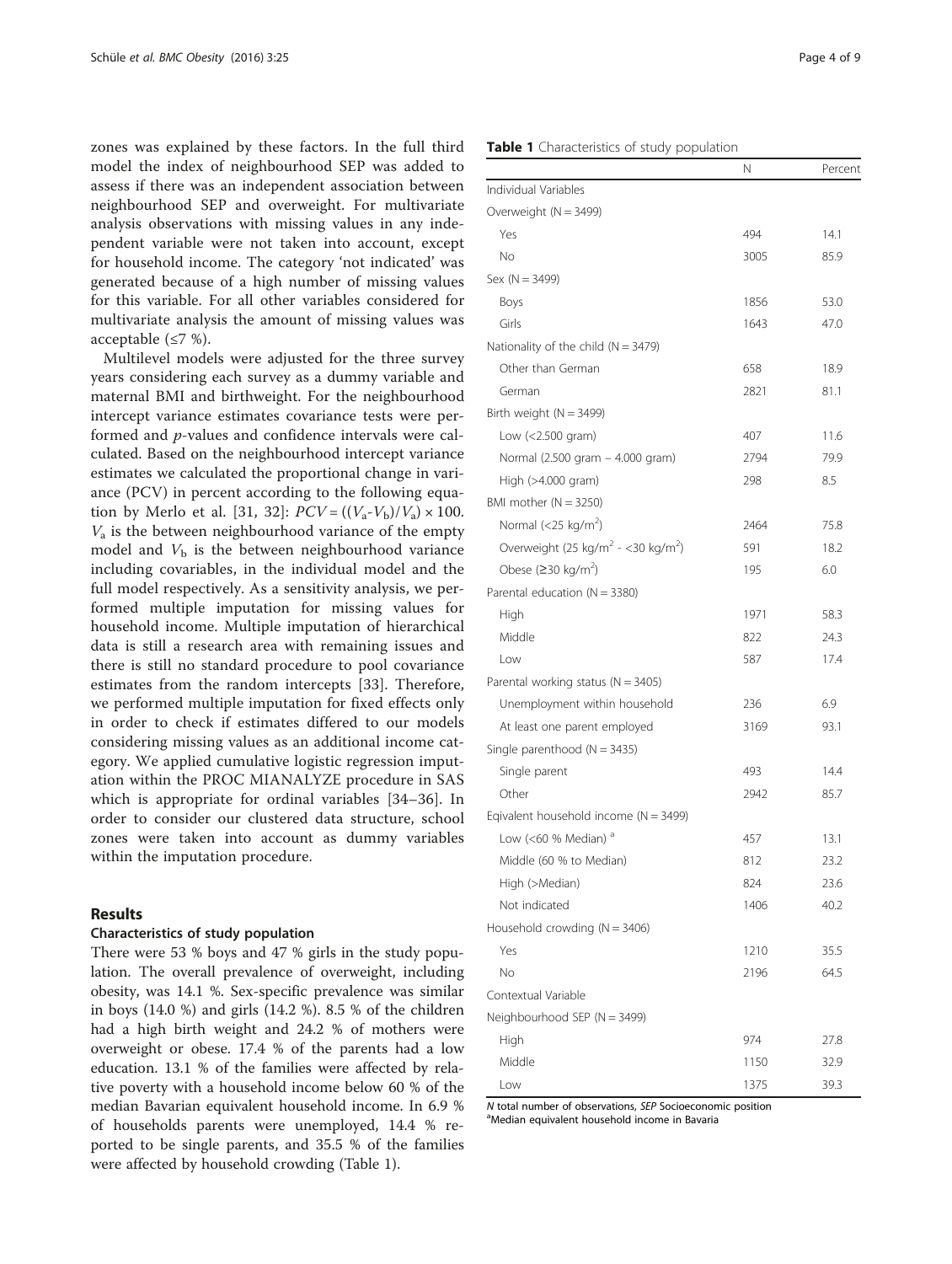<span id="page-3-0"></span>zones was explained by these factors. In the full third model the index of neighbourhood SEP was added to assess if there was an independent association between neighbourhood SEP and overweight. For multivariate analysis observations with missing values in any independent variable were not taken into account, except for household income. The category 'not indicated' was generated because of a high number of missing values for this variable. For all other variables considered for multivariate analysis the amount of missing values was acceptable (≤7 %).

Multilevel models were adjusted for the three survey years considering each survey as a dummy variable and maternal BMI and birthweight. For the neighbourhood intercept variance estimates covariance tests were performed and p-values and confidence intervals were calculated. Based on the neighbourhood intercept variance estimates we calculated the proportional change in variance (PCV) in percent according to the following equa-tion by Merlo et al. [[31](#page-8-0), [32](#page-8-0)]:  $PCV = ((V_a - V_b)/V_a) \times 100$ .  $V<sub>a</sub>$  is the between neighbourhood variance of the empty model and  $V<sub>b</sub>$  is the between neighbourhood variance including covariables, in the individual model and the full model respectively. As a sensitivity analysis, we performed multiple imputation for missing values for household income. Multiple imputation of hierarchical data is still a research area with remaining issues and there is still no standard procedure to pool covariance estimates from the random intercepts [\[33](#page-8-0)]. Therefore, we performed multiple imputation for fixed effects only in order to check if estimates differed to our models considering missing values as an additional income category. We applied cumulative logistic regression imputation within the PROC MIANALYZE procedure in SAS which is appropriate for ordinal variables [\[34](#page-8-0)–[36\]](#page-8-0). In order to consider our clustered data structure, school zones were taken into account as dummy variables within the imputation procedure.

## Results

#### Characteristics of study population

There were 53 % boys and 47 % girls in the study population. The overall prevalence of overweight, including obesity, was 14.1 %. Sex-specific prevalence was similar in boys (14.0 %) and girls (14.2 %). 8.5 % of the children had a high birth weight and 24.2 % of mothers were overweight or obese. 17.4 % of the parents had a low education. 13.1 % of the families were affected by relative poverty with a household income below 60 % of the median Bavarian equivalent household income. In 6.9 % of households parents were unemployed, 14.4 % reported to be single parents, and 35.5 % of the families were affected by household crowding (Table 1).

|  | Table 1 Characteristics of study population |  |  |
|--|---------------------------------------------|--|--|
|  |                                             |  |  |

|                                                            | N    | Percent |
|------------------------------------------------------------|------|---------|
| Individual Variables                                       |      |         |
| Overweight ( $N = 3499$ )                                  |      |         |
| Yes                                                        | 494  | 14.1    |
| No                                                         | 3005 | 85.9    |
| Sex $(N = 3499)$                                           |      |         |
| Boys                                                       | 1856 | 53.0    |
| Girls                                                      | 1643 | 47.0    |
| Nationality of the child ( $N = 3479$ )                    |      |         |
| Other than German                                          | 658  | 18.9    |
| German                                                     | 2821 | 81.1    |
| Birth weight $(N = 3499)$                                  |      |         |
| Low (<2.500 gram)                                          | 407  | 11.6    |
| Normal (2.500 gram - 4.000 gram)                           | 2794 | 79.9    |
| High (>4.000 gram)                                         | 298  | 8.5     |
| BMI mother ( $N = 3250$ )                                  |      |         |
| Normal (<25 kg/m <sup>2</sup> )                            | 2464 | 75.8    |
| Overweight (25 kg/m <sup>2</sup> - <30 kg/m <sup>2</sup> ) | 591  | 18.2    |
| Obese ( $\geq$ 30 kg/m <sup>2</sup> )                      | 195  | 6.0     |
| Parental education ( $N = 3380$ )                          |      |         |
| High                                                       | 1971 | 58.3    |
| Middle                                                     | 822  | 24.3    |
| Low                                                        | 587  | 17.4    |
| Parental working status ( $N = 3405$ )                     |      |         |
| Unemployment within household                              | 236  | 6.9     |
| At least one parent employed                               | 3169 | 93.1    |
| Single parenthood ( $N = 3435$ )                           |      |         |
| Single parent                                              | 493  | 14.4    |
| Other                                                      | 2942 | 85.7    |
| Eqivalent household income ( $N = 3499$ )                  |      |         |
| Low (<60 % Median) $a$                                     | 457  | 13.1    |
| Middle (60 % to Median)                                    | 812  | 23.2    |
| High (>Median)                                             | 824  | 23.6    |
| Not indicated                                              | 1406 | 40.2    |
| Household crowding ( $N = 3406$ )                          |      |         |
| Yes                                                        | 1210 | 35.5    |
| No                                                         | 2196 | 64.5    |
| Contextual Variable                                        |      |         |
| Neighbourhood SEP (N = 3499)                               |      |         |
| High                                                       | 974  | 27.8    |
| Middle                                                     | 1150 | 32.9    |
| Low                                                        | 1375 | 39.3    |

<sup>N</sup> total number of observations, SEP Socioeconomic position <sup>a</sup> <sup>a</sup>Median equivalent household income in Bavaria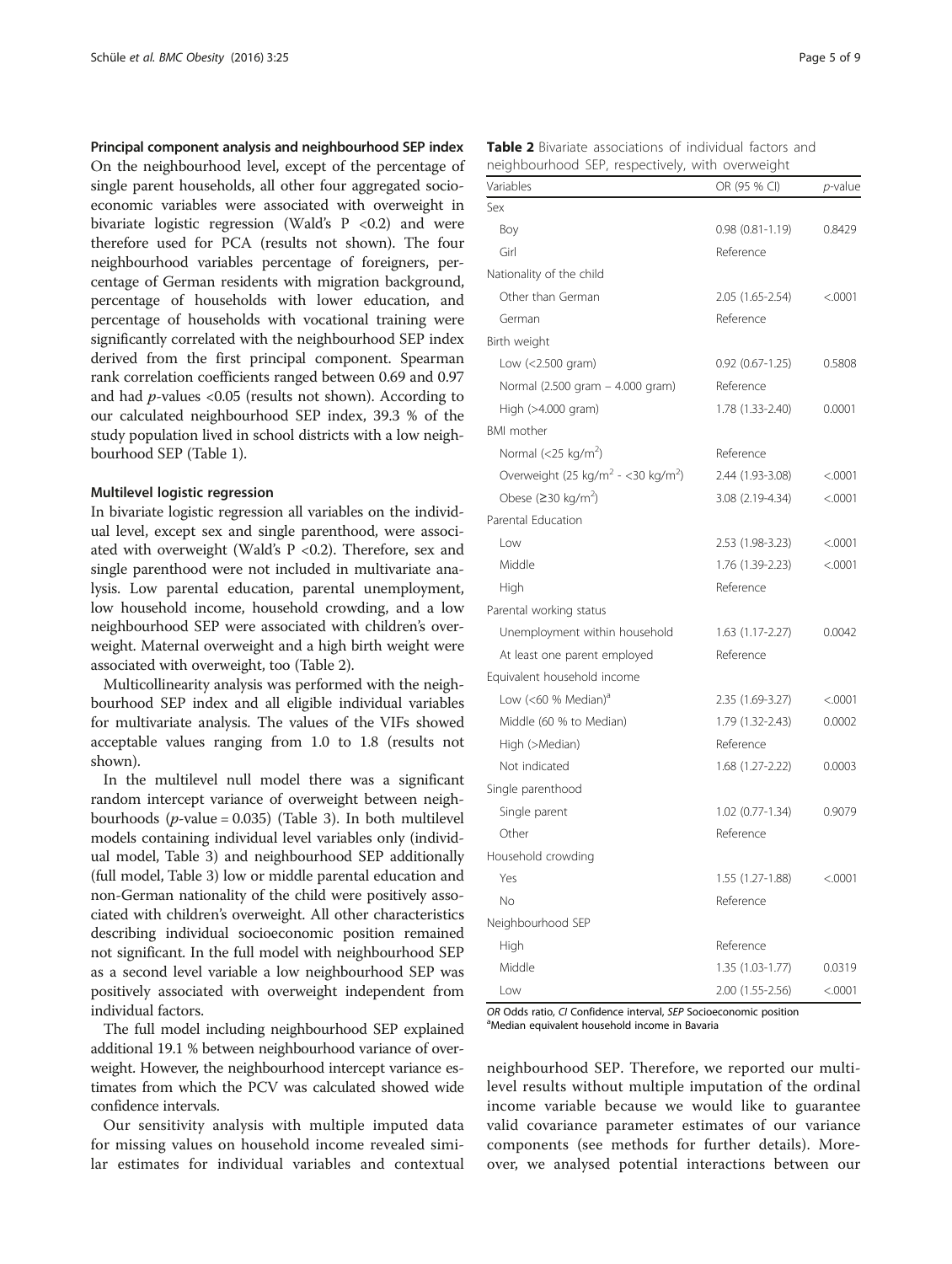Principal component analysis and neighbourhood SEP index

On the neighbourhood level, except of the percentage of single parent households, all other four aggregated socioeconomic variables were associated with overweight in bivariate logistic regression (Wald's P <0.2) and were therefore used for PCA (results not shown). The four neighbourhood variables percentage of foreigners, percentage of German residents with migration background, percentage of households with lower education, and percentage of households with vocational training were significantly correlated with the neighbourhood SEP index derived from the first principal component. Spearman rank correlation coefficients ranged between 0.69 and 0.97 and had  $p$ -values <0.05 (results not shown). According to our calculated neighbourhood SEP index, 39.3 % of the study population lived in school districts with a low neighbourhood SEP (Table [1](#page-3-0)).

#### Multilevel logistic regression

In bivariate logistic regression all variables on the individual level, except sex and single parenthood, were associated with overweight (Wald's  $P$  <0.2). Therefore, sex and single parenthood were not included in multivariate analysis. Low parental education, parental unemployment, low household income, household crowding, and a low neighbourhood SEP were associated with children's overweight. Maternal overweight and a high birth weight were associated with overweight, too (Table 2).

Multicollinearity analysis was performed with the neighbourhood SEP index and all eligible individual variables for multivariate analysis. The values of the VIFs showed acceptable values ranging from 1.0 to 1.8 (results not shown).

In the multilevel null model there was a significant random intercept variance of overweight between neighbourhoods ( $p$ -value = 0.035) (Table [3](#page-5-0)). In both multilevel models containing individual level variables only (individual model, Table [3](#page-5-0)) and neighbourhood SEP additionally (full model, Table [3](#page-5-0)) low or middle parental education and non-German nationality of the child were positively associated with children's overweight. All other characteristics describing individual socioeconomic position remained not significant. In the full model with neighbourhood SEP as a second level variable a low neighbourhood SEP was positively associated with overweight independent from individual factors.

The full model including neighbourhood SEP explained additional 19.1 % between neighbourhood variance of overweight. However, the neighbourhood intercept variance estimates from which the PCV was calculated showed wide confidence intervals.

Our sensitivity analysis with multiple imputed data for missing values on household income revealed similar estimates for individual variables and contextual

| <b>Table 2</b> Bivariate associations of individual factors and |  |  |
|-----------------------------------------------------------------|--|--|
| neighbourhood SEP, respectively, with overweight                |  |  |

| Variables                                                  | OR (95 % CI)           | p-value |
|------------------------------------------------------------|------------------------|---------|
| Sex                                                        |                        |         |
| Boy                                                        | $0.98(0.81 - 1.19)$    | 0.8429  |
| Girl                                                       | Reference              |         |
| Nationality of the child                                   |                        |         |
| Other than German                                          | 2.05 (1.65-2.54)       | < .0001 |
| German                                                     | Reference              |         |
| Birth weight                                               |                        |         |
| Low (<2.500 gram)                                          | $0.92$ $(0.67 - 1.25)$ | 0.5808  |
| Normal (2.500 gram - 4.000 gram)                           | Reference              |         |
| High (>4.000 gram)                                         | 1.78 (1.33-2.40)       | 0.0001  |
| <b>BMI</b> mother                                          |                        |         |
| Normal (< $25 \text{ kg/m}^2$ )                            | Reference              |         |
| Overweight (25 kg/m <sup>2</sup> - <30 kg/m <sup>2</sup> ) | 2.44 (1.93-3.08)       | < .0001 |
| Obese $(230 \text{ kg/m}^2)$                               | 3.08 (2.19-4.34)       | < .0001 |
| Parental Education                                         |                        |         |
| l ow                                                       | 2.53 (1.98-3.23)       | < .0001 |
| Middle                                                     | 1.76 (1.39-2.23)       | < .0001 |
| High                                                       | Reference              |         |
| Parental working status                                    |                        |         |
| Unemployment within household                              | 1.63 (1.17-2.27)       | 0.0042  |
| At least one parent employed                               | Reference              |         |
| Equivalent household income                                |                        |         |
| Low (<60 % Median) <sup>a</sup>                            | 2.35 (1.69-3.27)       | < .0001 |
| Middle (60 % to Median)                                    | 1.79 (1.32-2.43)       | 0.0002  |
| High (>Median)                                             | Reference              |         |
| Not indicated                                              | 1.68 (1.27-2.22)       | 0.0003  |
| Single parenthood                                          |                        |         |
| Single parent                                              | 1.02 (0.77-1.34)       | 0.9079  |
| Other                                                      | Reference              |         |
| Household crowding                                         |                        |         |
| Yes                                                        | 1.55 (1.27-1.88)       | < .0001 |
| Nο                                                         | Reference              |         |
| Neighbourhood SEP                                          |                        |         |
| High                                                       | Reference              |         |
| Middle                                                     | 1.35 (1.03-1.77)       | 0.0319  |
| Low                                                        | 2.00 (1.55-2.56)       | < .0001 |

OR Odds ratio, CJ Confidence interval, SEP Socioeconomic position <sup>a</sup>Median equivalent household income in Bavaria

neighbourhood SEP. Therefore, we reported our multilevel results without multiple imputation of the ordinal income variable because we would like to guarantee valid covariance parameter estimates of our variance components (see methods for further details). Moreover, we analysed potential interactions between our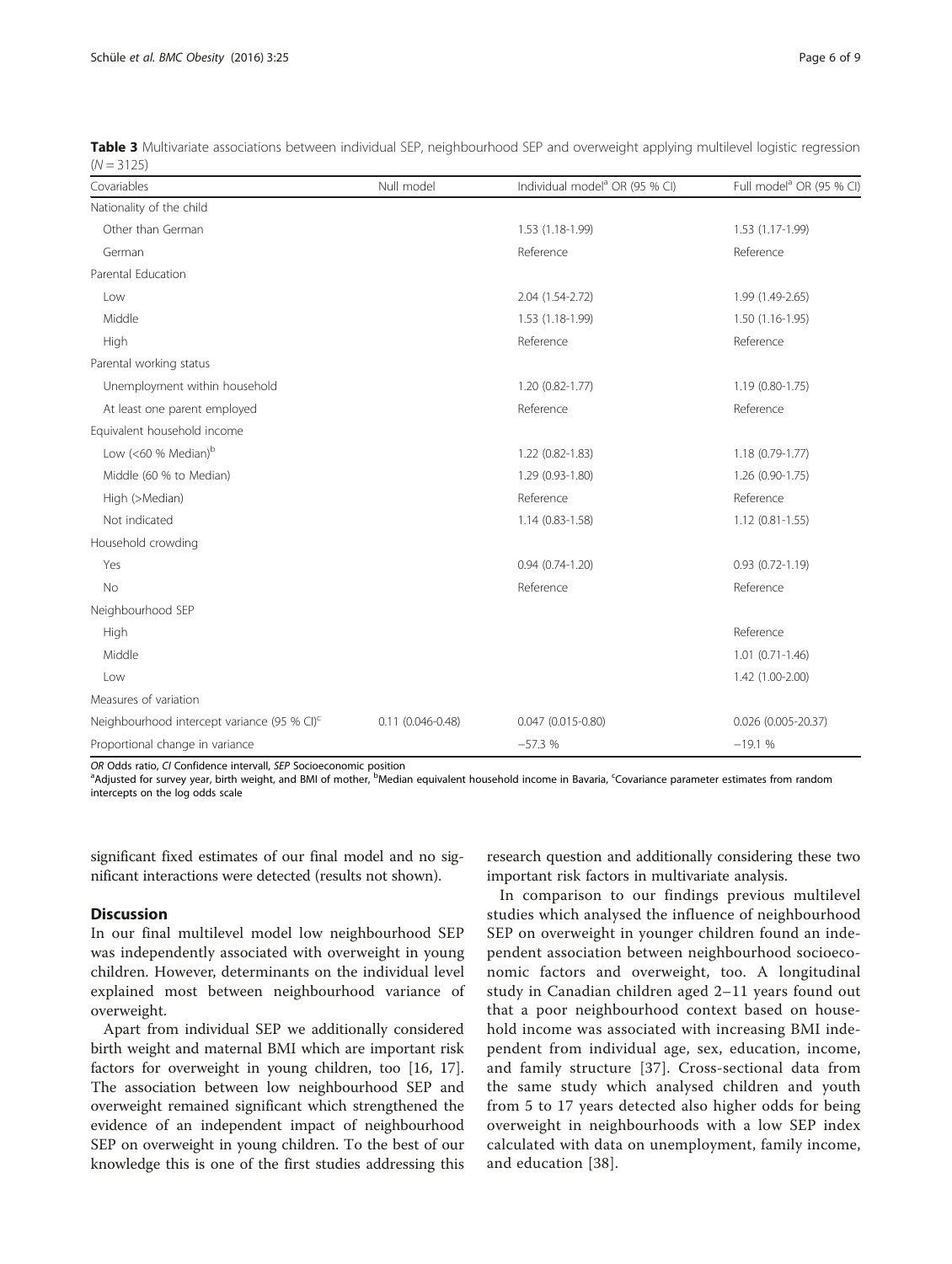| Covariables                                             | Null model           | Individual model <sup>a</sup> OR (95 % CI) | Full model <sup>a</sup> OR (95 % CI) |
|---------------------------------------------------------|----------------------|--------------------------------------------|--------------------------------------|
| Nationality of the child                                |                      |                                            |                                      |
| Other than German                                       |                      | 1.53 (1.18-1.99)                           | 1.53 (1.17-1.99)                     |
| German                                                  |                      | Reference                                  | Reference                            |
| Parental Education                                      |                      |                                            |                                      |
| Low                                                     |                      | 2.04 (1.54-2.72)                           | 1.99 (1.49-2.65)                     |
| Middle                                                  |                      | 1.53 (1.18-1.99)                           | $1.50(1.16-1.95)$                    |
| High                                                    |                      | Reference                                  | Reference                            |
| Parental working status                                 |                      |                                            |                                      |
| Unemployment within household                           |                      | $1.20(0.82 - 1.77)$                        | $1.19(0.80-1.75)$                    |
| At least one parent employed                            |                      | Reference                                  | Reference                            |
| Equivalent household income                             |                      |                                            |                                      |
| Low (<60 % Median) <sup>b</sup>                         |                      | 1.22 (0.82-1.83)                           | 1.18 (0.79-1.77)                     |
| Middle (60 % to Median)                                 |                      | 1.29 (0.93-1.80)                           | 1.26 (0.90-1.75)                     |
| High (>Median)                                          |                      | Reference                                  | Reference                            |
| Not indicated                                           |                      | $1.14(0.83 - 1.58)$                        | $1.12(0.81 - 1.55)$                  |
| Household crowding                                      |                      |                                            |                                      |
| Yes                                                     |                      | $0.94(0.74-1.20)$                          | $0.93(0.72 - 1.19)$                  |
| <b>No</b>                                               |                      | Reference                                  | Reference                            |
| Neighbourhood SEP                                       |                      |                                            |                                      |
| High                                                    |                      |                                            | Reference                            |
| Middle                                                  |                      |                                            | $1.01$ $(0.71 - 1.46)$               |
| Low                                                     |                      |                                            | 1.42 (1.00-2.00)                     |
| Measures of variation                                   |                      |                                            |                                      |
| Neighbourhood intercept variance (95 % CI) <sup>c</sup> | $0.11(0.046 - 0.48)$ | $0.047(0.015 - 0.80)$                      | 0.026 (0.005-20.37)                  |
| Proportional change in variance                         |                      | $-57.3%$                                   | $-19.1%$                             |

<span id="page-5-0"></span>Table 3 Multivariate associations between individual SEP, neighbourhood SEP and overweight applying multilevel logistic regression  $(N = 3125)$ 

OR Odds ratio, CI Confidence intervall, SEP Socioeconomic position

Adjusted for survey year, birth weight, and BMI of mother, <sup>b</sup>Median equivalent household income in Bavaria, <sup>c</sup>Covariance parameter estimates from random intercepts on the log odds scale

significant fixed estimates of our final model and no significant interactions were detected (results not shown).

## **Discussion**

In our final multilevel model low neighbourhood SEP was independently associated with overweight in young children. However, determinants on the individual level explained most between neighbourhood variance of overweight.

Apart from individual SEP we additionally considered birth weight and maternal BMI which are important risk factors for overweight in young children, too [[16, 17](#page-7-0)]. The association between low neighbourhood SEP and overweight remained significant which strengthened the evidence of an independent impact of neighbourhood SEP on overweight in young children. To the best of our knowledge this is one of the first studies addressing this

research question and additionally considering these two important risk factors in multivariate analysis.

In comparison to our findings previous multilevel studies which analysed the influence of neighbourhood SEP on overweight in younger children found an independent association between neighbourhood socioeconomic factors and overweight, too. A longitudinal study in Canadian children aged 2–11 years found out that a poor neighbourhood context based on household income was associated with increasing BMI independent from individual age, sex, education, income, and family structure [[37\]](#page-8-0). Cross-sectional data from the same study which analysed children and youth from 5 to 17 years detected also higher odds for being overweight in neighbourhoods with a low SEP index calculated with data on unemployment, family income, and education [\[38](#page-8-0)].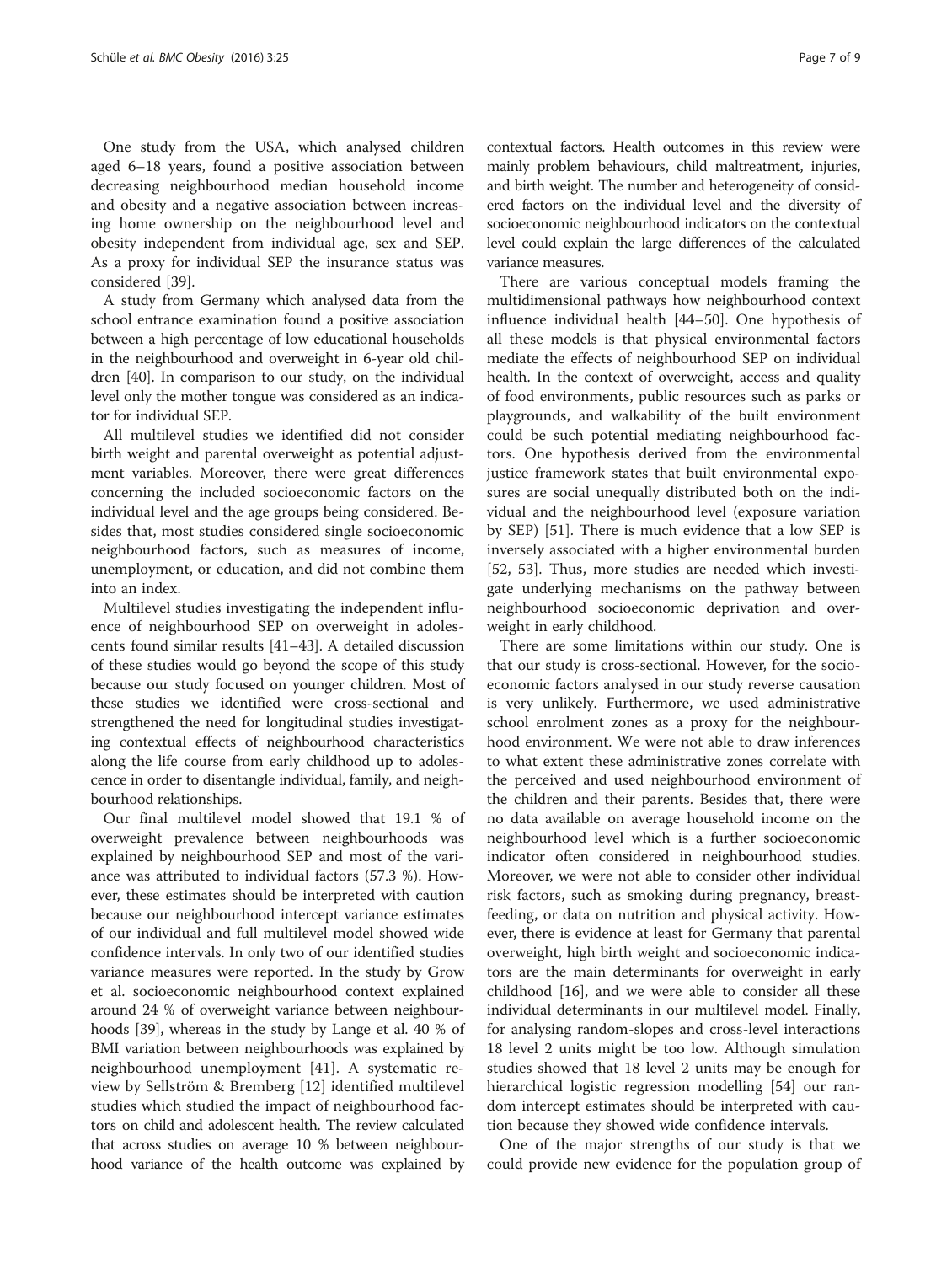One study from the USA, which analysed children aged 6–18 years, found a positive association between decreasing neighbourhood median household income and obesity and a negative association between increasing home ownership on the neighbourhood level and obesity independent from individual age, sex and SEP. As a proxy for individual SEP the insurance status was considered [[39\]](#page-8-0).

A study from Germany which analysed data from the school entrance examination found a positive association between a high percentage of low educational households in the neighbourhood and overweight in 6-year old children [\[40\]](#page-8-0). In comparison to our study, on the individual level only the mother tongue was considered as an indicator for individual SEP.

All multilevel studies we identified did not consider birth weight and parental overweight as potential adjustment variables. Moreover, there were great differences concerning the included socioeconomic factors on the individual level and the age groups being considered. Besides that, most studies considered single socioeconomic neighbourhood factors, such as measures of income, unemployment, or education, and did not combine them into an index.

Multilevel studies investigating the independent influence of neighbourhood SEP on overweight in adolescents found similar results [\[41](#page-8-0)–[43\]](#page-8-0). A detailed discussion of these studies would go beyond the scope of this study because our study focused on younger children. Most of these studies we identified were cross-sectional and strengthened the need for longitudinal studies investigating contextual effects of neighbourhood characteristics along the life course from early childhood up to adolescence in order to disentangle individual, family, and neighbourhood relationships.

Our final multilevel model showed that 19.1 % of overweight prevalence between neighbourhoods was explained by neighbourhood SEP and most of the variance was attributed to individual factors (57.3 %). However, these estimates should be interpreted with caution because our neighbourhood intercept variance estimates of our individual and full multilevel model showed wide confidence intervals. In only two of our identified studies variance measures were reported. In the study by Grow et al. socioeconomic neighbourhood context explained around 24 % of overweight variance between neighbourhoods [[39](#page-8-0)], whereas in the study by Lange et al. 40 % of BMI variation between neighbourhoods was explained by neighbourhood unemployment [[41\]](#page-8-0). A systematic review by Sellström & Bremberg [[12\]](#page-7-0) identified multilevel studies which studied the impact of neighbourhood factors on child and adolescent health. The review calculated that across studies on average 10 % between neighbourhood variance of the health outcome was explained by

contextual factors. Health outcomes in this review were mainly problem behaviours, child maltreatment, injuries, and birth weight. The number and heterogeneity of considered factors on the individual level and the diversity of socioeconomic neighbourhood indicators on the contextual level could explain the large differences of the calculated variance measures.

There are various conceptual models framing the multidimensional pathways how neighbourhood context influence individual health [[44](#page-8-0)–[50](#page-8-0)]. One hypothesis of all these models is that physical environmental factors mediate the effects of neighbourhood SEP on individual health. In the context of overweight, access and quality of food environments, public resources such as parks or playgrounds, and walkability of the built environment could be such potential mediating neighbourhood factors. One hypothesis derived from the environmental justice framework states that built environmental exposures are social unequally distributed both on the individual and the neighbourhood level (exposure variation by SEP) [[51\]](#page-8-0). There is much evidence that a low SEP is inversely associated with a higher environmental burden [[52, 53](#page-8-0)]. Thus, more studies are needed which investigate underlying mechanisms on the pathway between neighbourhood socioeconomic deprivation and overweight in early childhood.

There are some limitations within our study. One is that our study is cross-sectional. However, for the socioeconomic factors analysed in our study reverse causation is very unlikely. Furthermore, we used administrative school enrolment zones as a proxy for the neighbourhood environment. We were not able to draw inferences to what extent these administrative zones correlate with the perceived and used neighbourhood environment of the children and their parents. Besides that, there were no data available on average household income on the neighbourhood level which is a further socioeconomic indicator often considered in neighbourhood studies. Moreover, we were not able to consider other individual risk factors, such as smoking during pregnancy, breastfeeding, or data on nutrition and physical activity. However, there is evidence at least for Germany that parental overweight, high birth weight and socioeconomic indicators are the main determinants for overweight in early childhood [\[16\]](#page-7-0), and we were able to consider all these individual determinants in our multilevel model. Finally, for analysing random-slopes and cross-level interactions 18 level 2 units might be too low. Although simulation studies showed that 18 level 2 units may be enough for hierarchical logistic regression modelling [\[54\]](#page-8-0) our random intercept estimates should be interpreted with caution because they showed wide confidence intervals.

One of the major strengths of our study is that we could provide new evidence for the population group of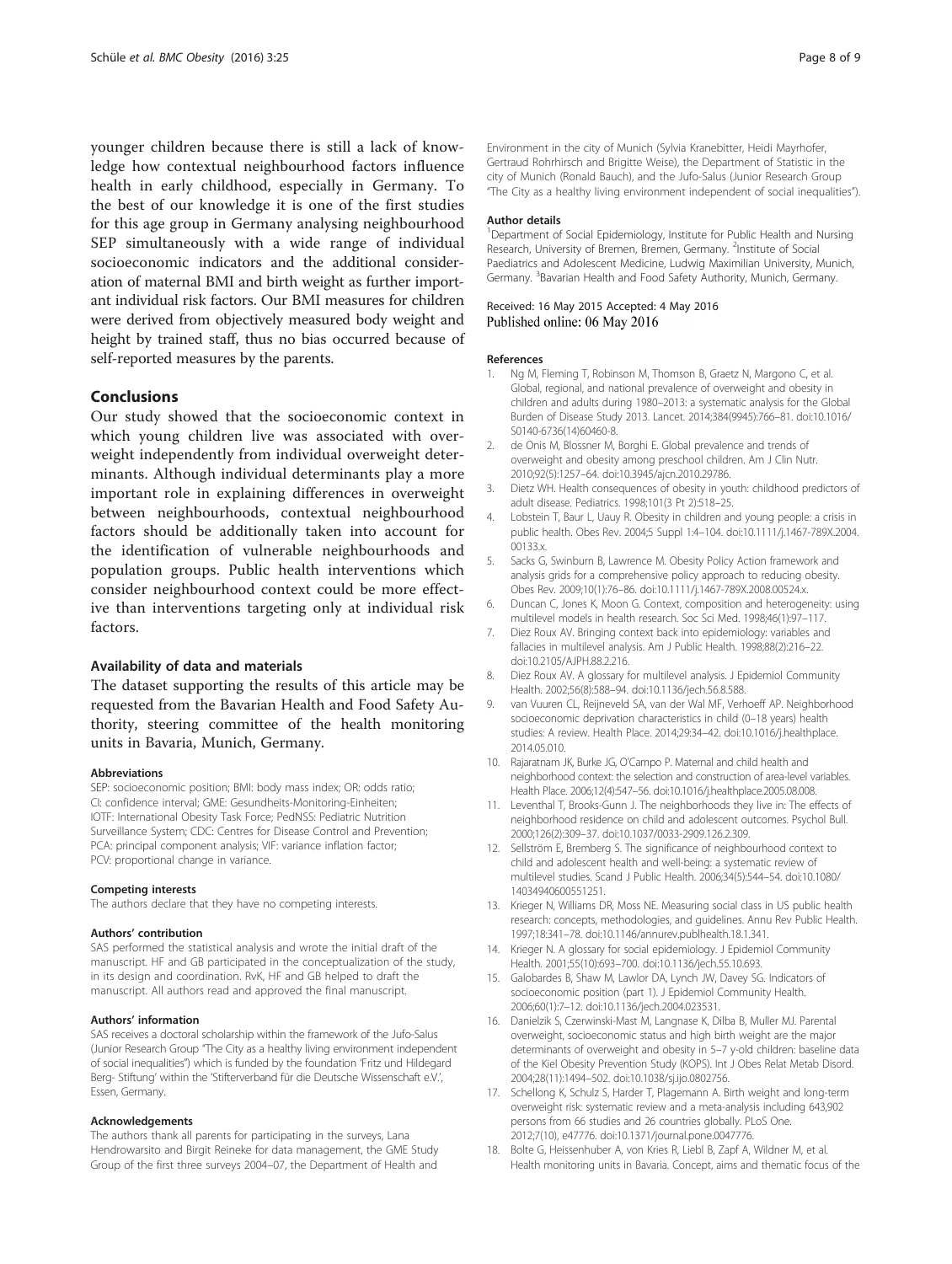<span id="page-7-0"></span>younger children because there is still a lack of knowledge how contextual neighbourhood factors influence health in early childhood, especially in Germany. To the best of our knowledge it is one of the first studies for this age group in Germany analysing neighbourhood SEP simultaneously with a wide range of individual socioeconomic indicators and the additional consideration of maternal BMI and birth weight as further important individual risk factors. Our BMI measures for children were derived from objectively measured body weight and height by trained staff, thus no bias occurred because of self-reported measures by the parents.

## Conclusions

Our study showed that the socioeconomic context in which young children live was associated with overweight independently from individual overweight determinants. Although individual determinants play a more important role in explaining differences in overweight between neighbourhoods, contextual neighbourhood factors should be additionally taken into account for the identification of vulnerable neighbourhoods and population groups. Public health interventions which consider neighbourhood context could be more effective than interventions targeting only at individual risk factors.

## Availability of data and materials

The dataset supporting the results of this article may be requested from the Bavarian Health and Food Safety Authority, steering committee of the health monitoring units in Bavaria, Munich, Germany.

#### Abbreviations

SEP: socioeconomic position; BMI: body mass index; OR: odds ratio; CI: confidence interval; GME: Gesundheits-Monitoring-Einheiten; IOTF: International Obesity Task Force; PedNSS: Pediatric Nutrition Surveillance System; CDC: Centres for Disease Control and Prevention; PCA: principal component analysis; VIF: variance inflation factor; PCV: proportional change in variance.

#### Competing interests

The authors declare that they have no competing interests.

#### Authors' contribution

SAS performed the statistical analysis and wrote the initial draft of the manuscript. HF and GB participated in the conceptualization of the study, in its design and coordination. RvK, HF and GB helped to draft the manuscript. All authors read and approved the final manuscript.

#### Authors' information

SAS receives a doctoral scholarship within the framework of the Jufo-Salus (Junior Research Group "The City as a healthy living environment independent of social inequalities") which is funded by the foundation 'Fritz und Hildegard Berg- Stiftung' within the 'Stifterverband für die Deutsche Wissenschaft e.V.', Essen, Germany.

#### Acknowledgements

The authors thank all parents for participating in the surveys, Lana Hendrowarsito and Birgit Reineke for data management, the GME Study Group of the first three surveys 2004–07, the Department of Health and

Environment in the city of Munich (Sylvia Kranebitter, Heidi Mayrhofer, Gertraud Rohrhirsch and Brigitte Weise), the Department of Statistic in the city of Munich (Ronald Bauch), and the Jufo-Salus (Junior Research Group "The City as a healthy living environment independent of social inequalities").

#### Author details

<sup>1</sup>Department of Social Epidemiology, Institute for Public Health and Nursing Research, University of Bremen, Bremen, Germany. <sup>2</sup>Institute of Social Paediatrics and Adolescent Medicine, Ludwig Maximilian University, Munich, Germany. <sup>3</sup> Bavarian Health and Food Safety Authority, Munich, Germany

#### Received: 16 May 2015 Accepted: 4 May 2016 Published online: 06 May 2016

#### References

- 1. Ng M, Fleming T, Robinson M, Thomson B, Graetz N, Margono C, et al. Global, regional, and national prevalence of overweight and obesity in children and adults during 1980–2013: a systematic analysis for the Global Burden of Disease Study 2013. Lancet. 2014;384(9945):766–81. doi:[10.1016/](http://dx.doi.org/10.1016/S0140-6736(14)60460-8) [S0140-6736\(14\)60460-8](http://dx.doi.org/10.1016/S0140-6736(14)60460-8).
- 2. de Onis M, Blossner M, Borghi E. Global prevalence and trends of overweight and obesity among preschool children. Am J Clin Nutr. 2010;92(5):1257–64. doi[:10.3945/ajcn.2010.29786](http://dx.doi.org/10.3945/ajcn.2010.29786).
- 3. Dietz WH. Health consequences of obesity in youth: childhood predictors of adult disease. Pediatrics. 1998;101(3 Pt 2):518–25.
- 4. Lobstein T, Baur L, Uauy R. Obesity in children and young people: a crisis in public health. Obes Rev. 2004;5 Suppl 1:4–104. doi:[10.1111/j.1467-789X.2004.](http://dx.doi.org/10.1111/j.1467-789X.2004.00133.x) [00133.x](http://dx.doi.org/10.1111/j.1467-789X.2004.00133.x).
- 5. Sacks G, Swinburn B, Lawrence M. Obesity Policy Action framework and analysis grids for a comprehensive policy approach to reducing obesity. Obes Rev. 2009;10(1):76–86. doi:[10.1111/j.1467-789X.2008.00524.x.](http://dx.doi.org/10.1111/j.1467-789X.2008.00524.x)
- 6. Duncan C, Jones K, Moon G. Context, composition and heterogeneity: using multilevel models in health research. Soc Sci Med. 1998;46(1):97–117.
- 7. Diez Roux AV. Bringing context back into epidemiology: variables and fallacies in multilevel analysis. Am J Public Health. 1998;88(2):216–22. doi[:10.2105/AJPH.88.2.216.](http://dx.doi.org/10.2105/AJPH.88.2.216)
- 8. Diez Roux AV. A glossary for multilevel analysis. J Epidemiol Community Health. 2002;56(8):588–94. doi:[10.1136/jech.56.8.588.](http://dx.doi.org/10.1136/jech.56.8.588)
- 9. van Vuuren CL, Reijneveld SA, van der Wal MF, Verhoeff AP. Neighborhood socioeconomic deprivation characteristics in child (0–18 years) health studies: A review. Health Place. 2014;29:34–42. doi:[10.1016/j.healthplace.](http://dx.doi.org/10.1016/j.healthplace.2014.05.010) [2014.05.010.](http://dx.doi.org/10.1016/j.healthplace.2014.05.010)
- 10. Rajaratnam JK, Burke JG, O'Campo P. Maternal and child health and neighborhood context: the selection and construction of area-level variables. Health Place. 2006;12(4):547–56. doi[:10.1016/j.healthplace.2005.08.008.](http://dx.doi.org/10.1016/j.healthplace.2005.08.008)
- 11. Leventhal T, Brooks-Gunn J. The neighborhoods they live in: The effects of neighborhood residence on child and adolescent outcomes. Psychol Bull. 2000;126(2):309–37. doi[:10.1037/0033-2909.126.2.309](http://dx.doi.org/10.1037/0033-2909.126.2.309).
- 12. Sellström E, Bremberg S. The significance of neighbourhood context to child and adolescent health and well-being: a systematic review of multilevel studies. Scand J Public Health. 2006;34(5):544–54. doi:[10.1080/](http://dx.doi.org/10.1080/14034940600551251) [14034940600551251.](http://dx.doi.org/10.1080/14034940600551251)
- 13. Krieger N, Williams DR, Moss NE. Measuring social class in US public health research: concepts, methodologies, and guidelines. Annu Rev Public Health. 1997;18:341–78. doi:[10.1146/annurev.publhealth.18.1.341.](http://dx.doi.org/10.1146/annurev.publhealth.18.1.341)
- 14. Krieger N. A glossary for social epidemiology. J Epidemiol Community Health. 2001;55(10):693–700. doi:[10.1136/jech.55.10.693.](http://dx.doi.org/10.1136/jech.55.10.693)
- 15. Galobardes B, Shaw M, Lawlor DA, Lynch JW, Davey SG. Indicators of socioeconomic position (part 1). J Epidemiol Community Health. 2006;60(1):7–12. doi[:10.1136/jech.2004.023531.](http://dx.doi.org/10.1136/jech.2004.023531)
- 16. Danielzik S, Czerwinski-Mast M, Langnase K, Dilba B, Muller MJ. Parental overweight, socioeconomic status and high birth weight are the major determinants of overweight and obesity in 5–7 y-old children: baseline data of the Kiel Obesity Prevention Study (KOPS). Int J Obes Relat Metab Disord. 2004;28(11):1494–502. doi[:10.1038/sj.ijo.0802756](http://dx.doi.org/10.1038/sj.ijo.0802756).
- 17. Schellong K, Schulz S, Harder T, Plagemann A. Birth weight and long-term overweight risk: systematic review and a meta-analysis including 643,902 persons from 66 studies and 26 countries globally. PLoS One. 2012;7(10), e47776. doi:[10.1371/journal.pone.0047776.](http://dx.doi.org/10.1371/journal.pone.0047776)
- 18. Bolte G, Heissenhuber A, von Kries R, Liebl B, Zapf A, Wildner M, et al. Health monitoring units in Bavaria. Concept, aims and thematic focus of the